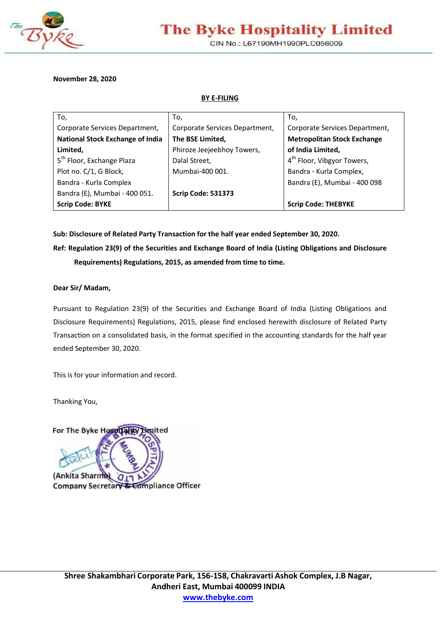

# **The Byke Hospitality Limited**

CIN No.: L67190MH1990PLC056009

**November 28, 2020** 

**BY E-FILING** 

| To,                                     | To,                            | To,                                    |
|-----------------------------------------|--------------------------------|----------------------------------------|
| Corporate Services Department,          | Corporate Services Department, | Corporate Services Department,         |
| <b>National Stock Exchange of India</b> | The BSE Limited,               | <b>Metropolitan Stock Exchange</b>     |
| Limited,                                | Phiroze Jeejeebhoy Towers,     | of India Limited,                      |
| 5 <sup>th</sup> Floor, Exchange Plaza   | Dalal Street,                  | 4 <sup>th</sup> Floor, Vibgyor Towers, |
| Plot no. C/1, G Block,                  | Mumbai-400 001.                | Bandra - Kurla Complex,                |
| Bandra - Kurla Complex                  |                                | Bandra (E), Mumbai - 400 098           |
| Bandra (E), Mumbai - 400 051.           | <b>Scrip Code: 531373</b>      |                                        |
| <b>Scrip Code: BYKE</b>                 |                                | <b>Scrip Code: THEBYKE</b>             |

**Sub: Disclosure of Related Party Transaction for the half year ended September 30, 2020.** 

**Ref: Regulation 23(9) of the Securities and Exchange Board of India (Listing Obligations and Disclosure Requirements) Regulations, 2015, as amended from time to time.** 

### **Dear Sir/ Madam,**

Pursuant to Regulation 23(9) of the Securities and Exchange Board of India (Listing Obligations and Disclosure Requirements) Regulations, 2015, please find enclosed herewith disclosure of Related Party Transaction on a consolidated basis, in the format specified in the accounting standards for the half year ended September 30, 2020.

This is for your information and record.

Thanking You,

For The Byke Hospitality imited (Ankita Sharma)  $Q_{11}$ **Company Secretary & Compliance Officer**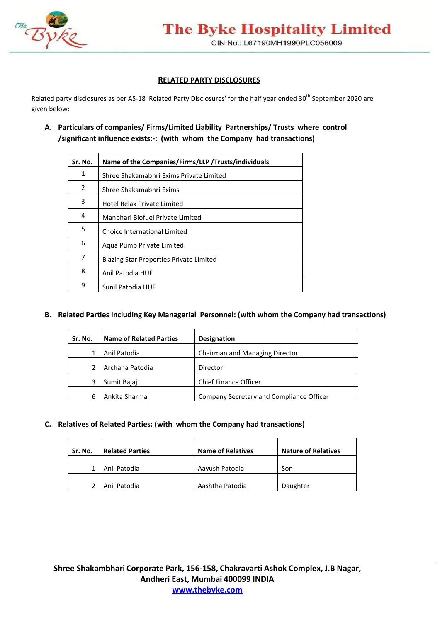

## **RELATED PARTY DISCLOSURES**

Related party disclosures as per AS-18 'Related Party Disclosures' for the half year ended 30<sup>th</sup> September 2020 are given below:

**A. Particulars of companies/ Firms/Limited Liability Partnerships/ Trusts where control /significant influence exists:-: (with whom the Company had transactions)** 

| Sr. No.       | Name of the Companies/Firms/LLP /Trusts/individuals |  |  |
|---------------|-----------------------------------------------------|--|--|
| 1             | Shree Shakamabhri Exims Private Limited             |  |  |
| $\mathcal{P}$ | Shree Shakamabhri Exims                             |  |  |
| 3             | Hotel Relax Private Limited                         |  |  |
| 4             | Manbhari Biofuel Private Limited                    |  |  |
| 5             | Choice International Limited                        |  |  |
| 6             | Aqua Pump Private Limited                           |  |  |
| 7             | <b>Blazing Star Properties Private Limited</b>      |  |  |
| 8             | Anil Patodia HUF                                    |  |  |
| 9             | Sunil Patodia HUF                                   |  |  |

## **B. Related Parties Including Key Managerial Personnel: (with whom the Company had transactions)**

| Sr. No. | <b>Name of Related Parties</b> | <b>Designation</b>                       |
|---------|--------------------------------|------------------------------------------|
|         | Anil Patodia                   | Chairman and Managing Director           |
|         | Archana Patodia                | Director                                 |
|         | Sumit Bajaj                    | <b>Chief Finance Officer</b>             |
| 6       | Ankita Sharma                  | Company Secretary and Compliance Officer |

## **C. Relatives of Related Parties: (with whom the Company had transactions)**

| Sr. No. | <b>Name of Relatives</b><br><b>Related Parties</b> |                 | <b>Nature of Relatives</b> |  |
|---------|----------------------------------------------------|-----------------|----------------------------|--|
|         | Anil Patodia                                       | Aayush Patodia  | Son                        |  |
|         | Anil Patodia                                       | Aashtha Patodia | Daughter                   |  |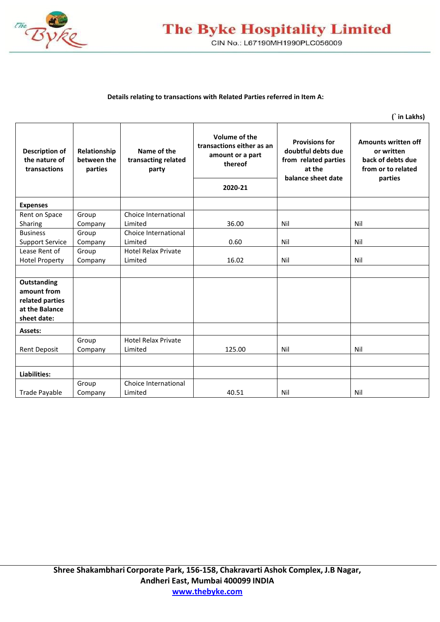

# **The Byke Hospitality Limited** CIN No.: L67190MH1990PLC056009

#### **Details relating to transactions with Related Parties referred in Item A:**

**(` in Lakhs)** 

| Description of<br>the nature of<br>transactions | Relationship<br>between the<br>parties | Name of the<br>transacting related<br>party | Volume of the<br>transactions either as an<br>amount or a part<br>thereof<br>2020-21 | <b>Provisions for</b><br>doubtful debts due<br>from related parties<br>at the<br>balance sheet date | <b>Amounts written off</b><br>or written<br>back of debts due<br>from or to related<br>parties |
|-------------------------------------------------|----------------------------------------|---------------------------------------------|--------------------------------------------------------------------------------------|-----------------------------------------------------------------------------------------------------|------------------------------------------------------------------------------------------------|
|                                                 |                                        |                                             |                                                                                      |                                                                                                     |                                                                                                |
| <b>Expenses</b>                                 |                                        |                                             |                                                                                      |                                                                                                     |                                                                                                |
| Rent on Space                                   | Group                                  | Choice International                        |                                                                                      |                                                                                                     |                                                                                                |
| Sharing                                         | Company                                | Limited                                     | 36.00                                                                                | Nil                                                                                                 | Nil                                                                                            |
| <b>Business</b>                                 | Group                                  | Choice International                        |                                                                                      |                                                                                                     |                                                                                                |
| <b>Support Service</b>                          | Company                                | Limited                                     | 0.60                                                                                 | Nil                                                                                                 | Nil                                                                                            |
| Lease Rent of                                   | Group                                  | <b>Hotel Relax Private</b>                  |                                                                                      |                                                                                                     |                                                                                                |
| <b>Hotel Property</b>                           | Company                                | Limited                                     | 16.02                                                                                | Nil                                                                                                 | Nil                                                                                            |
|                                                 |                                        |                                             |                                                                                      |                                                                                                     |                                                                                                |
| Outstanding                                     |                                        |                                             |                                                                                      |                                                                                                     |                                                                                                |
| amount from                                     |                                        |                                             |                                                                                      |                                                                                                     |                                                                                                |
| related parties                                 |                                        |                                             |                                                                                      |                                                                                                     |                                                                                                |
| at the Balance                                  |                                        |                                             |                                                                                      |                                                                                                     |                                                                                                |
| sheet date:                                     |                                        |                                             |                                                                                      |                                                                                                     |                                                                                                |
| Assets:                                         |                                        |                                             |                                                                                      |                                                                                                     |                                                                                                |
|                                                 | Group                                  | <b>Hotel Relax Private</b>                  |                                                                                      |                                                                                                     |                                                                                                |
| <b>Rent Deposit</b>                             | Company                                | Limited                                     | 125.00                                                                               | Nil                                                                                                 | Nil                                                                                            |
|                                                 |                                        |                                             |                                                                                      |                                                                                                     |                                                                                                |
| Liabilities:                                    |                                        |                                             |                                                                                      |                                                                                                     |                                                                                                |
|                                                 | Group                                  | Choice International                        |                                                                                      |                                                                                                     |                                                                                                |
| <b>Trade Payable</b>                            | Company                                | Limited                                     | 40.51                                                                                | Nil                                                                                                 | Nil                                                                                            |